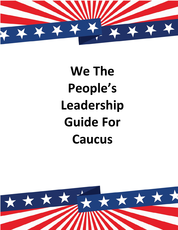

# **We The People's Leadership Guide For Caucus**

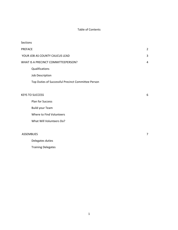#### Table of Contents

| <b>Sections</b>                     |                                                    |                |
|-------------------------------------|----------------------------------------------------|----------------|
| <b>PREFACE</b>                      |                                                    | $\overline{2}$ |
| YOUR JOB AS COUNTY CAUCUS LEAD      |                                                    | 3              |
| WHAT IS A PRECINCT COMMITTEEPERSON? |                                                    | 4              |
|                                     | Qualifications                                     |                |
|                                     | Job Description                                    |                |
|                                     | Top Duties of Successful Precinct Committee Person |                |
|                                     |                                                    |                |
| <b>KEYS TO SUCCESS</b>              |                                                    | 6              |
|                                     | Plan for Success                                   |                |
|                                     | <b>Build your Team</b>                             |                |
|                                     | Where to Find Volunteers                           |                |
|                                     | What Will Volunteers Do?                           |                |
|                                     |                                                    |                |
|                                     | <b>ASSEMBLIES</b>                                  |                |
|                                     | Delegates duties                                   |                |

Training Delegates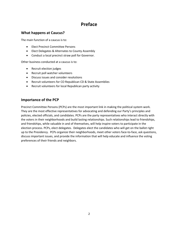## **Preface**

#### **What happens at Caucus?**

The main function of a caucus is to:

- Elect Precinct Committee Persons
- Elect Delegates & Alternates to County Assembly
- Conduct a local precinct straw poll for Governor.

Other business conducted at a caucus is to:

- Recruit election judges
- Recruit poll watcher volunteers
- Discuss issues and consider resolutions
- Recruit volunteers for CO Republican CD & State Assemblies
- Recruit volunteers for local Republican party activity

#### **Importance of the PCP**

Precinct Committee Persons (PCPs) are the most important link in making the political system work. They are the most effective representatives for advocating and defending our Party's principles and policies, elected officials, and candidates. PCPs are the party representatives who interact directly with the voters in their neighborhoods and build lasting relationships. Such relationships lead to friendships, and friendships, while valuable in and of themselves, will help inspire voters to participate in the election process. PCPs, elect delegates. Delegates elect the candidates who will get on the ballot right up to the Presidency. PCPs organize their neighborhoods, meet other voters face-to-face, ask questions, discuss important issues, and provide the information that will help educate and influence the voting preferences of their friends and neighbors.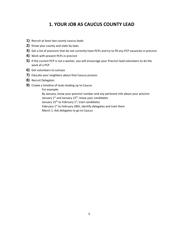### **1. YOUR JOB AS CAUCUS COUNTY LEAD**

- **1)** Recruit at least two county caucus leads
- **2)** Know your county and state by-laws
- **3)** Get a list of precincts that do not currently have PCPs and try to fill any PCP vacancies in precinct
- **4)** Work with present PCPs in precinct
- **5)** If the current PCP is not a worker, you will encourage your Precinct lead volunteers to do the work of a PCP
- **6)** Get volunteers to canvass
- **7)** Educate your neighbors about that Caucus process
- **8)** Recruit Delegates
- **9)** Create a timeline of tasks leading up to Caucus

For example:

By January, know your precinct number and any pertinent info about your precinct January  $1^{st}$  and January  $15^{th}$ , know your candidates January  $15^{th}$  to February  $1^{st}$ , train candidates February 1<sup>st</sup> to February 28th, identify delegates and train them March 1, Ask delegates to go to Caucus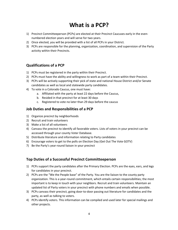# **What is a PCP?**

- 1) Precinct Committeeperson (PCPs) are elected at their Precinct Caucuses early in the evennumbered election years and will serve for two years.
- 2) Once elected, you will be provided with a list of all PCPs in your District.
- 3) PCPs are responsible for the planning, organization, coordination, and supervision of the Party activity within their Precincts.

#### **Qualifications of a PCP**

- 1) PCPs must be registered in the party within their Precinct.
- 2) PCPs must have the ability and willingness to work as part of a team within their Precinct.
- 3) PCPs will be actively supporting their pick of state and national House District and/or Senate candidates as well as local and statewide party candidates.
- 4) To vote in a Colorado Caucus, one must have:
	- a. Affiliated with the party at least 22 days before the Caucus,
	- b. Resided in that precinct for at least 30 days
	- c. Registered to vote no later than 29 days before the caucus

#### **Job Duties and Responsibilities of a PCP**

- 1) Organize precinct by neighborhoods
- 2) Recruit and train volunteers
- 3) Make a list of all volunteers
- 4) Canvass the precinct to identify all favorable voters. Lists of voters in your precinct can be accessed through your county Voter Database.
- 5) Distribute literature and information relating to Party candidates
- 6) Encourage voters to get to the polls on Election Day (Get Out The Vote GOTV)
- 7) Be the Party's year-round liaison in your precinct

#### **Top Duties of a Successful Precinct Committeeperson**

- 1) PCPs support the party candidates after the Primary Election. PCPs are the eyes, ears, and legs for candidates in your precinct.
- 2) PCPs are the "We the People base" of the Party. You are the liaison to the county party organization. This is a year-round commitment, which entails certain responsibilities; the most important is to keep in touch with your neighbors. Recruit and train volunteers. Maintain an updated list of Party voters in your precinct with phone numbers and emails when possible.
- 3) PCPs canvass their precinct, going door-to-door passing out literature for candidates and the party, as well as talking to voters.
- 4) PCPs identify voters. This information can be compiled and used later for special mailings and other projects.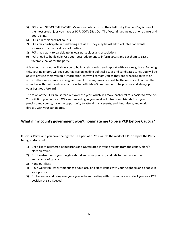- 5) PCPs help GET-OUT-THE-VOTE. Make sure voters turn in their ballots by Election Day is one of the most crucial jobs you have as PCP. GOTV (Get-Out-The-Vote) drives include phone banks and doorbelling.
- 6) PCPs run their precinct caucus.
- 7) PCPs may participate in fundraising activities. They may be asked to volunteer at events sponsored by the local or start parties.
- 8) PCPs may want to participate in local party clubs and associations.
- 9) PCPs need to be flexible. Use your best judgement to inform voters and get them to cast a favorable ballot for the party.

A few hours a month will allow you to build a relationship and rapport with your neighbors. By doing this, your neighbors will seek your advice on leading political issues and candidates. Since you will be able to provide them valuable information, they will contact you as they are preparing to vote or write to their representatives in government. In many cases, you will be the only direct contact the voter has with their candidates and elected officials – So remember to be positive and always put your best foot forward.

The tasks of the PCPs are spread out over the year, which will make each vital task easier to execute. You will find your work as PCP very rewarding as you meet volunteers and friends from your precinct and county, have the opportunity to attend many events, and fundraisers, and work directly with your candidates.

#### **What if my county government won't nominate me to be a PCP before Caucus?**

It is your Party, and you have the right to be a part of it! You will do the work of a PCP despite the Party trying to stop you!

- 1) Get a list of registered Republicans and Unaffiliated in your precinct from the county clerk's election office.
- 2) Go door-to-door in your neighborhood and your precinct, and talk to them about the importance of caucus
- 3) Hand out fliers
- 4) Have weekly/bi-weekly meetings about local and state issues with your neighbors and people in your precinct
- 5) Go to caucus and bring everyone you've been meeting with to nominate and elect you for a PCP position at said Caucus!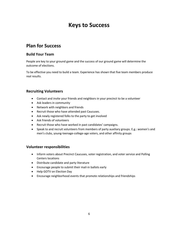# **Keys to Success**

## **Plan for Success**

#### **Build Your Team**

People are key to your ground game and the success of our ground game will determine the outcome of elections.

To be effective you need to build a team. Experience has shown that five team members produce real results.

#### **Recruiting Volunteers**

- Contact and invite your friends and neighbors in your precinct to be a volunteer
- Ask leaders in community
- Network with neighbors and friends
- Recruit those who have attended past Caucuses.
- Ask newly registered folks to the party to get involved
- Ask friends of volunteers
- Recruit those who have worked in past candidates' campaigns.
- Speak to and recruit volunteers from members of party auxiliary groups. E.g.: women's and men's clubs, young-teenage-college-age voters, and other affinity groups

#### **Volunteer responsibilities**

- Inform voters about Precinct Caucuses, voter registration, and voter service and Polling Centers locations
- Distribute candidate and party literature
- Encourage people to submit their mail-in ballots early
- Help GOTV on Election Day
- Encourage neighborhood events that promote relationships and friendships